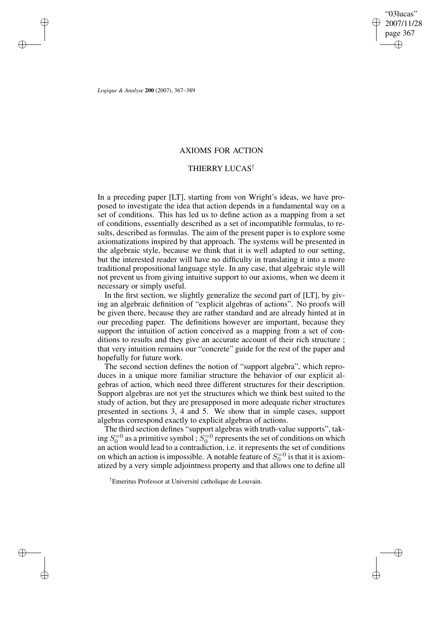✐

*Logique & Analyse* **200** (2007), 367–389

✐

✐

✐

✐

# AXIOMS FOR ACTION

# THIERRY LUCAS†

In a preceding paper [LT], starting from von Wright's ideas, we have proposed to investigate the idea that action depends in a fundamental way on a set of conditions. This has led us to define action as a mapping from a set of conditions, essentially described as a set of incompatible formulas, to results, described as formulas. The aim of the present paper is to explore some axiomatizations inspired by that approach. The systems will be presented in the algebraic style, because we think that it is well adapted to our setting, but the interested reader will have no difficulty in translating it into a more traditional propositional language style. In any case, that algebraic style will not prevent us from giving intuitive support to our axioms, when we deem it necessary or simply useful.

In the first section, we slightly generalize the second part of [LT], by giving an algebraic definition of "explicit algebras of actions". No proofs will be given there, because they are rather standard and are already hinted at in our preceding paper. The definitions however are important, because they support the intuition of action conceived as a mapping from a set of conditions to results and they give an accurate account of their rich structure ; that very intuition remains our "concrete" guide for the rest of the paper and hopefully for future work.

The second section defines the notion of "support algebra", which reproduces in a unique more familiar structure the behavior of our explicit algebras of action, which need three different structures for their description. Support algebras are not yet the structures which we think best suited to the study of action, but they are presupposed in more adequate richer structures presented in sections 3, 4 and 5. We show that in simple cases, support algebras correspond exactly to explicit algebras of actions.

The third section defines "support algebras with truth-value supports", taking  $S_0^{=0}$  as a primitive symbol ;  $S_0^{=0}$  represents the set of conditions on which an action would lead to a contradiction, i.e. it represents the set of conditions on which an action is impossible. A notable feature of  $S_0^{-0}$  is that it is axiomatized by a very simple adjointness property and that allows one to define all

†Emeritus Professor at Université catholique de Louvain.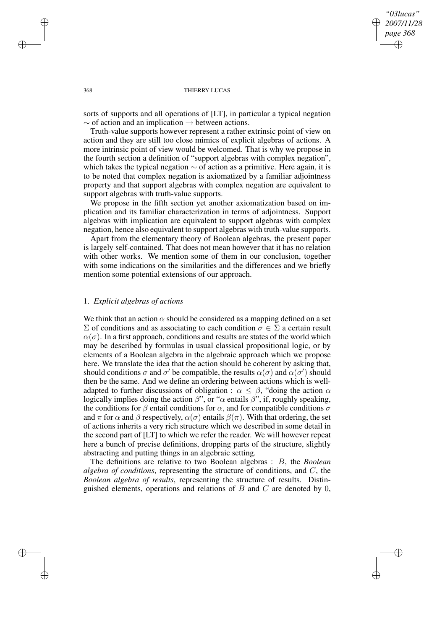## *"03lucas" 2007/11/28 page 368* ✐ ✐

✐

✐

#### 368 THIERRY LUCAS

sorts of supports and all operations of [LT], in particular a typical negation  $\sim$  of action and an implication  $\rightarrow$  between actions.

Truth-value supports however represent a rather extrinsic point of view on action and they are still too close mimics of explicit algebras of actions. A more intrinsic point of view would be welcomed. That is why we propose in the fourth section a definition of "support algebras with complex negation", which takes the typical negation  $\sim$  of action as a primitive. Here again, it is to be noted that complex negation is axiomatized by a familiar adjointness property and that support algebras with complex negation are equivalent to support algebras with truth-value supports.

We propose in the fifth section yet another axiomatization based on implication and its familiar characterization in terms of adjointness. Support algebras with implication are equivalent to support algebras with complex negation, hence also equivalent to support algebras with truth-value supports.

Apart from the elementary theory of Boolean algebras, the present paper is largely self-contained. That does not mean however that it has no relation with other works. We mention some of them in our conclusion, together with some indications on the similarities and the differences and we briefly mention some potential extensions of our approach.

## 1. *Explicit algebras of actions*

We think that an action  $\alpha$  should be considered as a mapping defined on a set  $\Sigma$  of conditions and as associating to each condition  $\sigma \in \Sigma$  a certain result  $\alpha(\sigma)$ . In a first approach, conditions and results are states of the world which may be described by formulas in usual classical propositional logic, or by elements of a Boolean algebra in the algebraic approach which we propose here. We translate the idea that the action should be coherent by asking that, should conditions  $\sigma$  and  $\sigma'$  be compatible, the results  $\alpha(\sigma)$  and  $\alpha(\sigma')$  should then be the same. And we define an ordering between actions which is welladapted to further discussions of obligation :  $\alpha \leq \beta$ , "doing the action  $\alpha$ logically implies doing the action  $\beta$ ", or " $\alpha$  entails  $\beta$ ", if, roughly speaking, the conditions for  $\beta$  entail conditions for  $\alpha$ , and for compatible conditions  $\sigma$ and  $\pi$  for  $\alpha$  and  $\beta$  respectively,  $\alpha(\sigma)$  entails  $\beta(\pi)$ . With that ordering, the set of actions inherits a very rich structure which we described in some detail in the second part of [LT] to which we refer the reader. We will however repeat here a bunch of precise definitions, dropping parts of the structure, slightly abstracting and putting things in an algebraic setting.

The definitions are relative to two Boolean algebras : B, the *Boolean algebra of conditions*, representing the structure of conditions, and C, the *Boolean algebra of results*, representing the structure of results. Distinguished elements, operations and relations of  $B$  and  $C$  are denoted by 0,

✐

✐

✐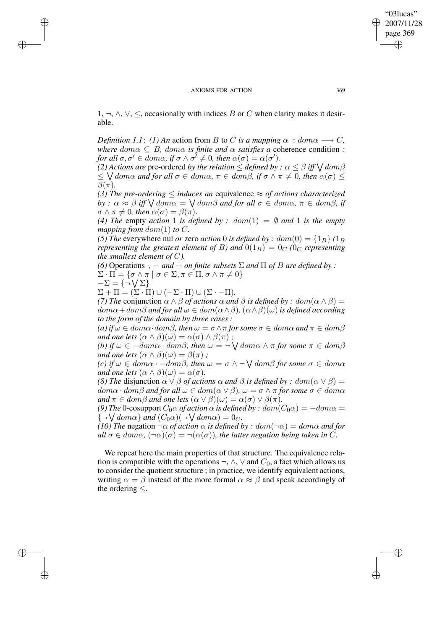1, ¬,  $\land$ ,  $\lor$ ,  $\le$ , occasionally with indices B or C when clarity makes it desirable.

*Definition* 1.1: (1) An action from B to C is a mapping  $\alpha : dom \alpha \longrightarrow C$ , *where*  $dom \alpha \subseteq B$ *,*  $dom \alpha$  *is finite and*  $\alpha$  *satisfies a* coherence condition *: for all*  $\sigma, \sigma' \in dom \alpha$ , *if*  $\sigma \wedge \sigma' \neq 0$ , *then*  $\alpha(\sigma) = \alpha(\sigma')$ .

*(2) Actions are <code>pre-ordered</code> <i>by the relation*  $\leq$  *defined by*  $:\alpha \leq \beta$  *iff*  $\bigvee$  *dom* $\beta$  $\leq$   $\setminus$  *dom* $\alpha$  *and for all*  $\sigma \in dom\alpha$ ,  $\pi \in dom\beta$ , *if*  $\sigma \wedge \pi \neq 0$ , *then*  $\alpha(\sigma) \leq$  $\beta(\pi)$ *.* 

*(3) The pre-ordering*  $\leq$  *induces an equivalence*  $\approx$  *of actions characterized*  $by$  :  $\alpha \approx \beta$  *iff*  $\bigvee dom\alpha = \bigvee dom\beta$  *and for all*  $\sigma \in dom\alpha$ *,*  $\pi \in dom\beta$ *, if*  $\sigma \wedge \pi \neq 0$ , then  $\alpha(\sigma) = \beta(\pi)$ .

(4) *The* empty *action* 1 *is defined by* :  $dom(1) = \emptyset$  *and* 1 *is the empty mapping from*  $dom(1)$  *to*  $C$ *.* 

*(5) The* everywhere nul *or* zero *action* 0 *is defined by* :  $dom(0) = \{1_B\}$  ( $1_B$ ) *representing the greatest element of* B) and  $0(1_B) = 0_C$  *(0<sub>C</sub> representing the smallest element of C*).

*(6)* Operations  $\cdot$ ,  $-$  *and*  $+$  *on finite subsets*  $\Sigma$  *and*  $\Pi$  *of*  $B$  *are defined by* :

 $\Sigma \cdot \Pi = \{ \sigma \wedge \pi \mid \sigma \in \Sigma, \pi \in \Pi, \sigma \wedge \pi \neq 0 \}$ 

$$
-\Sigma = \{\neg \bigvee \Sigma\}
$$

✐

✐

✐

✐

 $\Sigma + \Pi = (\Sigma \cdot \Pi) \cup (-\Sigma \cdot \Pi) \cup (\Sigma \cdot -\Pi).$ 

*(7) The* conjunction  $\alpha \wedge \beta$  *of actions*  $\alpha$  *and*  $\beta$  *is defined by : dom* $(\alpha \wedge \beta)$  =  $dom\alpha + dom\beta$  *and* for all  $\omega \in dom(\alpha \wedge \beta)$ ,  $(\alpha \wedge \beta)(\omega)$  *is defined according to the form of the domain by three cases :*

*(a) if*  $\omega \in dom \alpha \cdot dom \beta$ *, then*  $\omega = \sigma \wedge \pi$  *for some*  $\sigma \in dom \alpha$  *and*  $\pi \in dom \beta$ *and one lets*  $(\alpha \wedge \beta)(\omega) = \alpha(\sigma) \wedge \beta(\pi)$ ;

 $f(b)$  *if*  $\omega \in -dom\alpha \cdot dom\beta$ *, then*  $\omega = \neg \bigvee dom\alpha \wedge \pi$  *for some*  $\pi \in dom\beta$ *and one lets*  $(\alpha \wedge \beta)(\omega) = \beta(\pi)$ ;

 $f(c)$  *if*  $\omega \in dom\alpha \cdot -dom\beta$ *, then*  $\omega = \sigma \wedge \neg \bigvee dom\beta$  *for some*  $\sigma \in dom\alpha$ *and one lets*  $(\alpha \wedge \beta)(\omega) = \alpha(\sigma)$ *.* 

*(8) The* disjunction  $\alpha \vee \beta$  *of actions*  $\alpha$  *and*  $\beta$  *is defined by : dom* $(\alpha \vee \beta)$  =  $dom \alpha \cdot dom \beta$  *and for all*  $\omega \in dom(\alpha \vee \beta)$ ,  $\omega = \sigma \wedge \pi$  *for some*  $\sigma \in dom \alpha$ *and*  $\pi \in \text{dom}\beta$  *and one lets*  $(\alpha \vee \beta)(\omega) = \alpha(\sigma) \vee \beta(\pi)$ *.* 

*(9) The* 0-cosupport  $C_0 \alpha$  *of action*  $\alpha$  *is defined by :*  $dom(C_0 \alpha) = -dom \alpha =$  ${\lbrace \neg \bigvee \text{dom}\alpha \rbrace}$  and  $(C_0\alpha)(\neg \bigvee \text{dom}\alpha) = 0_C$ .

*(10) The* negation  $\neg \alpha$  *of action*  $\alpha$  *is defined by : dom*( $\neg \alpha$ ) = *dom* $\alpha$  *and for*  $all \sigma \in dom\alpha$ ,  $(\neg \alpha)(\sigma) = \neg(\alpha(\sigma))$ , the latter negation being taken in C.

We repeat here the main properties of that structure. The equivalence relation is compatible with the operations  $\neg$ ,  $\wedge$ ,  $\vee$  and  $C_0$ , a fact which allows us to consider the quotient structure ; in practice, we identify equivalent actions, writing  $\alpha = \beta$  instead of the more formal  $\alpha \approx \beta$  and speak accordingly of the ordering ≤.

"03lucas" 2007/11/28 page 369

✐

✐

✐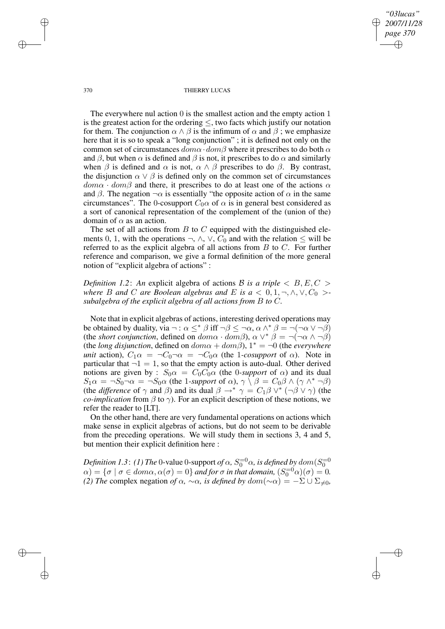*"03lucas" 2007/11/28 page 370* ✐ ✐

✐

✐

#### 370 THIERRY LUCAS

The everywhere nul action 0 is the smallest action and the empty action 1 is the greatest action for the ordering  $\leq$ , two facts which justify our notation for them. The conjunction  $\alpha \wedge \beta$  is the infimum of  $\alpha$  and  $\beta$ ; we emphasize here that it is so to speak a "long conjunction" ; it is defined not only on the common set of circumstances  $dom\alpha \cdot dom\beta$  where it prescribes to do both  $\alpha$ and  $\beta$ , but when  $\alpha$  is defined and  $\beta$  is not, it prescribes to do  $\alpha$  and similarly when  $\beta$  is defined and  $\alpha$  is not,  $\alpha \wedge \beta$  prescribes to do  $\beta$ . By contrast, the disjunction  $\alpha \vee \beta$  is defined only on the common set of circumstances  $dom\alpha \cdot dom\beta$  and there, it prescribes to do at least one of the actions  $\alpha$ and  $\beta$ . The negation  $\neg \alpha$  is essentially "the opposite action of  $\alpha$  in the same circumstances". The 0-cosupport  $C_0\alpha$  of  $\alpha$  is in general best considered as a sort of canonical representation of the complement of the (union of the) domain of  $\alpha$  as an action.

The set of all actions from  $B$  to  $C$  equipped with the distinguished elements 0, 1, with the operations  $\neg$ ,  $\wedge$ ,  $\vee$ ,  $C_0$  and with the relation  $\leq$  will be referred to as the explicit algebra of all actions from  $B$  to  $C$ . For further reference and comparison, we give a formal definition of the more general notion of "explicit algebra of actions" :

*Definition* 1.2: An explicit algebra of actions B is a triple  $\langle B, E, C \rangle$ *where B* and *C* are *Boolean algebras* and *E is*  $a < 0, 1, \neg, \land, \lor, C_0 > -1$ *subalgebra of the explicit algebra of all actions from* B *to* C*.*

Note that in explicit algebras of actions, interesting derived operations may be obtained by duality, via  $\neg : \alpha \leq^* \beta$  iff  $\neg \beta \leq \neg \alpha$ ,  $\alpha \wedge^* \beta = \neg(\neg \alpha \vee \neg \beta)$ (the *short conjunction*, defined on  $dom \alpha \cdot dom \beta$ ),  $\alpha \vee^* \beta = \neg(\neg \alpha \wedge \neg \beta)$ (the *long* disjunction, defined on  $dom\alpha + dom\beta$ ),  $1^* = \neg 0$  (the *everywhere unit* action),  $C_1 \alpha = \neg C_0 \neg \alpha = \neg C_0 \alpha$  (the 1*-cosupport* of  $\alpha$ ). Note in particular that  $\neg 1 = 1$ , so that the empty action is auto-dual. Other derived notions are given by :  $S_0 \alpha = C_0 C_0 \alpha$  (the 0-support of  $\alpha$ ) and its dual  $S_1 \alpha = \neg S_0 \neg \alpha = \neg S_0 \alpha$  (the 1-support of  $\alpha$ ),  $\gamma \setminus \beta = C_0 \beta \wedge (\gamma \wedge^* \neg \beta)$ (the *difference* of  $\gamma$  and  $\beta$ ) and its dual  $\beta \to^* \gamma = C_1 \beta \vee^* (\neg \beta \vee \gamma)$  (the *co-implication* from  $\beta$  to  $\gamma$ ). For an explicit description of these notions, we refer the reader to [LT].

On the other hand, there are very fundamental operations on actions which make sense in explicit algebras of actions, but do not seem to be derivable from the preceding operations. We will study them in sections 3, 4 and 5, but mention their explicit definition here :

Definition 1.3: (1) The 0-value 0-support of  $\alpha$ ,  $S_0^{=0}\alpha$ , is defined by  $dom(S_0^{=0})$  $\alpha$ ) = { $\sigma \mid \sigma \in dom\alpha, \alpha(\sigma) = 0$ } *and for*  $\sigma$  *in that domain,*  $(S_0^{-0}\alpha)(\sigma) = 0$ . *(2) The* complex negation *of*  $\alpha$ ,  $\sim \alpha$ *, is defined by*  $dom(\sim \alpha) = -\sum \cup \sum_{i=0}^{n}$ 

✐

✐

✐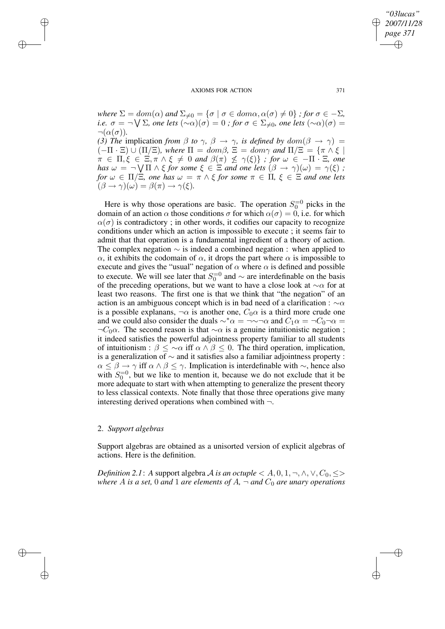*where*  $\Sigma = dom(\alpha)$  *and*  $\Sigma_{\neq 0} = {\sigma | \sigma \in dom \alpha, \alpha(\sigma) \neq 0}$  *; for*  $\sigma \in -\Sigma$ *,*  $i.e. \, \, \sigma=\neg \bigvee \Sigma$ , one lets  $(\sim\!\alpha)(\sigma)=0$  ; for  $\sigma\in\Sigma_{\neq 0}$ , one lets  $(\sim\!\alpha)(\sigma)=0$  $\neg(\alpha(\sigma)).$ 

*(3) The* implication *from*  $\beta$  *to*  $\gamma$ ,  $\beta \rightarrow \gamma$ , *is defined by*  $dom(\beta \rightarrow \gamma)$  $(-\Pi \cdot \Xi) \cup (\Pi/\Xi)$ *, where*  $\Pi = dom\beta$ *,*  $\Xi = dom\gamma$  *and*  $\Pi/\Xi = {\pi \wedge \xi}$  $\pi \in \Pi, \xi \in \Xi, \pi \wedge \xi \neq 0$  and  $\beta(\pi) \not\leq \gamma(\xi) \}$  ; for  $\omega \in -\Pi \cdot \Xi$ , one *has*  $\omega = \neg \bigvee \Pi \wedge \xi$  *for some*  $\xi \in \Xi$  *and one lets*  $(\beta \to \gamma)(\omega) = \gamma(\xi)$  *; for*  $\omega \in \Pi/\Xi$ *, one has*  $\omega = \pi \wedge \xi$  *for some*  $\pi \in \Pi$ *,*  $\xi \in \Xi$  *and one lets*  $\hat{\beta}(\beta \to \gamma)(\omega) = \beta(\pi) \to \gamma(\xi).$ 

Here is why those operations are basic. The operation  $S_0^{-0}$  picks in the domain of an action  $\alpha$  those conditions  $\sigma$  for which  $\alpha(\sigma) = 0$ , i.e. for which  $\alpha(\sigma)$  is contradictory; in other words, it codifies our capacity to recognize conditions under which an action is impossible to execute ; it seems fair to admit that that operation is a fundamental ingredient of a theory of action. The complex negation  $\sim$  is indeed a combined negation : when applied to α, it exhibits the codomain of α, it drops the part where α is impossible to execute and gives the "usual" negation of  $\alpha$  where  $\alpha$  is defined and possible to execute. We will see later that  $S_0^{-0}$  and  $\sim$  are interdefinable on the basis of the preceding operations, but we want to have a close look at  $\sim \alpha$  for at least two reasons. The first one is that we think that "the negation" of an action is an ambiguous concept which is in bad need of a clarification :  $\sim \alpha$ is a possible explanans,  $\neg \alpha$  is another one,  $C_0 \alpha$  is a third more crude one and we could also consider the duals  $\sim^*\alpha = \neg \sim \neg \alpha$  and  $C_1\alpha = \neg C_0\neg \alpha =$  $\neg C_0 \alpha$ . The second reason is that  $\sim \alpha$  is a genuine intuitionistic negation; it indeed satisfies the powerful adjointness property familiar to all students of intuitionism :  $\beta \leq \infty$  iff  $\alpha \wedge \beta \leq 0$ . The third operation, implication, is a generalization of ∼ and it satisfies also a familiar adjointness property :  $\alpha \leq \beta \rightarrow \gamma$  iff  $\alpha \wedge \beta \leq \gamma$ . Implication is interdefinable with  $\sim$ , hence also with  $S_0^{-0}$ , but we like to mention it, because we do not exclude that it be more adequate to start with when attempting to generalize the present theory to less classical contexts. Note finally that those three operations give many interesting derived operations when combined with  $\neg$ .

## 2. *Support algebras*

✐

✐

✐

✐

Support algebras are obtained as a unisorted version of explicit algebras of actions. Here is the definition.

*Definition* 2.1: *A* support algebra *A is an octuple*  $\lt A, 0, 1, \neg, \land, \lor, C_0, \leq \gt$ *where* A *is a set,* 0 *and* 1 *are elements of*  $A$ *,*  $\neg$  *and*  $C_0$  *are unary operations* 

*"03lucas" 2007/11/28 page 371* ✐ ✐

✐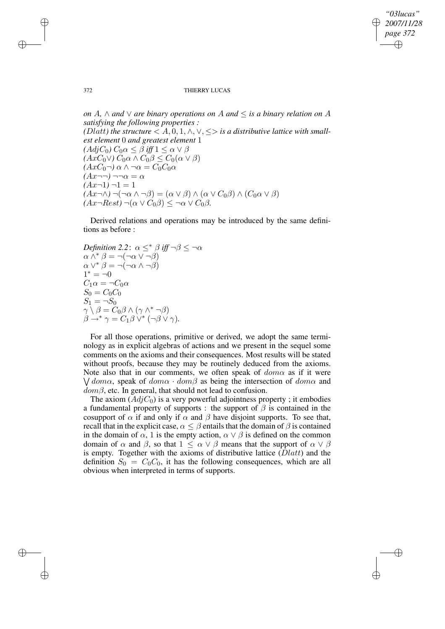✐

### 372 THIERRY LUCAS

*on* A*,* ∧ *and* ∨ *are binary operations on* A *and* ≤ *is a binary relation on* A *satisfying the following properties : (Dlatt) the structure*  $\langle A, 0, 1, \wedge, \vee, \leq \rangle$  *is a distributive lattice with smallest element* 0 *and greatest element* 1  $(AdjC_0) C_0\alpha \leq \beta$  *iff*  $1 \leq \alpha \vee \beta$  $(AxC_0 \vee) C_0 \alpha \wedge C_0 \beta \leq C_0(\alpha \vee \beta)$  $(AxC_0\neg)\alpha \wedge \neg \alpha = C_0C_0\alpha$  $(Ax\neg\neg) \neg\neg \alpha = \alpha$  $(Ax-1)-1=1$  $(Ax\neg\wedge)\neg(\neg\alpha\wedge\neg\beta)=(\alpha\vee\beta)\wedge(\alpha\vee C_0\beta)\wedge(C_0\alpha\vee\beta)$  $(Ax\neg Rest) \neg(\alpha \vee C_0\beta) \leq \neg \alpha \vee C_0\beta.$ 

Derived relations and operations may be introduced by the same definitions as before :

*Definition* 2.2:  $\alpha \leq^* \beta$  *iff*  $\neg \beta \leq \neg \alpha$  $\alpha \wedge^* \beta = \neg(\neg \alpha \vee \neg \beta)$  $\alpha \vee^* \beta = \neg(\neg \alpha \wedge \neg \beta)$  $1^* = -0$  $C_1\alpha = \neg C_0\alpha$  $S_0 = C_0 C_0$  $S_1 = \neg S_0$  $\gamma\setminus\beta=\dot{C_0}\beta\wedge(\gamma\wedge^*\neg\beta)$  $\beta \rightarrow^* \gamma = C_1 \beta \vee^* (\neg \beta \vee \gamma).$ 

For all those operations, primitive or derived, we adopt the same terminology as in explicit algebras of actions and we present in the sequel some comments on the axioms and their consequences. Most results will be stated without proofs, because they may be routinely deduced from the axioms. Note also that in our comments, we often speak of  $dom\alpha$  as if it were  $\sqrt{d_{\theta m \alpha}}$ , speak of  $dom \alpha \cdot dom \beta$  as being the intersection of  $dom \alpha$  and  $dom\beta$ , etc. In general, that should not lead to confusion.

The axiom  $(Adj C_0)$  is a very powerful adjointness property; it embodies a fundamental property of supports : the support of  $\beta$  is contained in the cosupport of  $\alpha$  if and only if  $\alpha$  and  $\beta$  have disjoint supports. To see that, recall that in the explicit case,  $\alpha \leq \beta$  entails that the domain of  $\beta$  is contained in the domain of  $\alpha$ , 1 is the empty action,  $\alpha \vee \beta$  is defined on the common domain of  $\alpha$  and  $\beta$ , so that  $1 \leq \alpha \vee \beta$  means that the support of  $\alpha \vee \beta$ is empty. Together with the axioms of distributive lattice  $(Dlatt)$  and the definition  $S_0 = C_0 C_0$ , it has the following consequences, which are all obvious when interpreted in terms of supports.

✐

✐

✐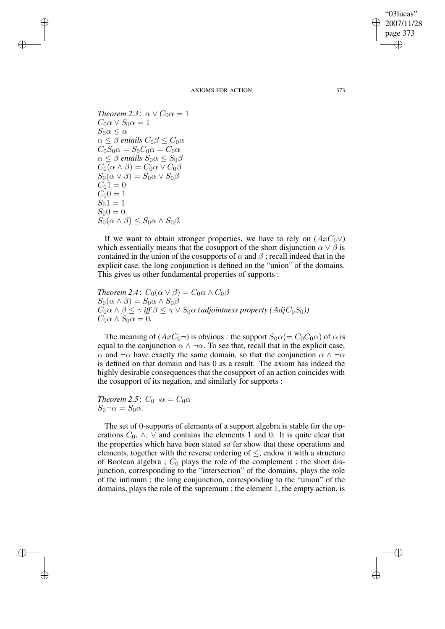✐

AXIOMS FOR ACTION 373

*Theorem* 2.3:  $\alpha \vee C_0 \alpha = 1$  $C_0 \alpha \vee S_0 \alpha = 1$  $S_0 \alpha \leq \alpha$  $\alpha \leq \beta$  *entails*  $C_0 \beta \leq C_0 \alpha$  $C_0S_0\alpha=S_0C_0\alpha=C_0\alpha$  $\alpha \leq \beta$  *entails*  $S_0 \alpha \leq S_0 \beta$  $C_0(\alpha \wedge \beta) = C_0\alpha \vee C_0\beta$  $S_0(\alpha \vee \beta) = S_0\alpha \vee S_0\beta$  $C_0 \dot{1} = 0$  $C_00 = 1$  $S_0 \, 1 = 1$  $S_0 0 = 0$  $S_0(\alpha \wedge \beta) \leq S_0\alpha \wedge S_0\beta$ .

✐

✐

✐

✐

If we want to obtain stronger properties, we have to rely on  $(AxC<sub>0</sub>\vee)$ which essentially means that the cosupport of the short disjunction  $\alpha \vee \beta$  is contained in the union of the cosupports of  $\alpha$  and  $\beta$ ; recall indeed that in the explicit case, the long conjunction is defined on the "union" of the domains. This gives us other fundamental properties of supports :

*Theorem* 2.4:  $C_0(\alpha \vee \beta) = C_0\alpha \wedge C_0\beta$  $S_0(\alpha \wedge \beta) = S_0 \alpha \wedge S_0 \beta$  $C_0 \alpha \wedge \beta \leq \gamma$  *iff*  $\beta \leq \gamma \vee S_0 \alpha$  *(adjointness property (AdjC<sub>0</sub>S<sub>0</sub>))*  $C_0 \alpha \wedge S_0 \alpha = 0.$ 

The meaning of  $(AxC_0-)$  is obvious : the support  $S_0\alpha (= C_0C_0\alpha)$  of  $\alpha$  is equal to the conjunction  $\alpha \wedge \neg \alpha$ . To see that, recall that in the explicit case,  $\alpha$  and  $\neg \alpha$  have exactly the same domain, so that the conjunction  $\alpha \wedge \neg \alpha$ is defined on that domain and has 0 as a result. The axiom has indeed the highly desirable consequences that the cosupport of an action coincides with the cosupport of its negation, and similarly for supports :

*Theorem* 2.5:  $C_0 \neg \alpha = C_0 \alpha$  $S_0 \neg \alpha = S_0 \alpha$ .

The set of 0-supports of elements of a support algebra is stable for the operations  $C_0$ ,  $\wedge$ ,  $\vee$  and contains the elements 1 and 0. It is quite clear that the properties which have been stated so far show that these operations and elements, together with the reverse ordering of  $\leq$ , endow it with a structure of Boolean algebra ;  $C_0$  plays the role of the complement ; the short disjunction, corresponding to the "intersection" of the domains, plays the role of the infimum ; the long conjunction, corresponding to the "union" of the domains, plays the role of the supremum ; the element 1, the empty action, is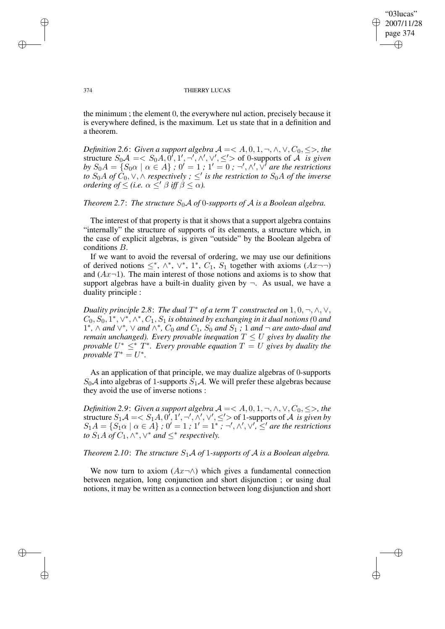✐

### 374 THIERRY LUCAS

the minimum ; the element 0, the everywhere nul action, precisely because it is everywhere defined, is the maximum. Let us state that in a definition and a theorem.

*Definition* 2.6: *Given a support algebra*  $A = < A, 0, 1, \neg, \wedge, \vee, C_0, \leq>,$  *the* structure  $S_0 \mathcal{A} = \langle S_0 A, 0', 1', \neg', \wedge', \vee', \leq' \rangle$  of 0-supports of  $\mathcal{A}$  *is given by*  $S_0A = \{S_0 \alpha \mid \alpha \in A\}$ ;  $0' = 1$ ;  $1' = 0$ ;  $\neg', \wedge', \sqrt{'}$  are the restrictions *to*  $S_0A$  *of*  $\tilde{C}_0$ ,  $\vee$ ,  $\wedge$  *respectively ;* ≤' *is the restriction to*  $S_0A$  *of the inverse ordering of*  $\leq$  *(i.e.*  $\alpha \leq' \beta$  *iff*  $\beta \leq \alpha$ ).

*Theorem* 2.7: *The structure*  $S_0 \mathcal{A}$  *of* 0*-supports of*  $\mathcal{A}$  *is a Boolean algebra.* 

The interest of that property is that it shows that a support algebra contains "internally" the structure of supports of its elements, a structure which, in the case of explicit algebras, is given "outside" by the Boolean algebra of conditions B.

If we want to avoid the reversal of ordering, we may use our definitions of derived notions  $\leq^*, \wedge^*, \vee^*, 1^*, C_1, S_1$  together with axioms  $(Ax \neg \neg)$ and  $(Ax-1)$ . The main interest of those notions and axioms is to show that support algebras have a built-in duality given by  $\neg$ . As usual, we have a duality principle :

*Duality principle* 2.8: *The dual*  $T^*$  *of a term*  $T$  *constructed on*  $1, 0, \neg, \wedge, \vee,$  $C_0, S_0, \overline{1^*, \vee^*, \wedge^*, C_1}, S_1$  is obtained by exchanging in it dual notions (0 and  $1^*$ , ∧ *and* ∨<sup>\*</sup>, ∨ *and* ∧<sup>\*</sup>,  $C_0$  *and*  $C_1$ ,  $S_0$  *and*  $S_1$  *;* 1 *and*  $\lnot$  *are auto-dual and remain unchanged*). *Every provable inequation*  $T \leq U$  *gives by duality the provable*  $U^* \leq^* T^*$ *. Every provable equation*  $T = U$  *gives by duality the provable*  $T^* = U^*$ .

As an application of that principle, we may dualize algebras of 0-supports  $S_0\mathcal{A}$  into algebras of 1-supports  $S_1\mathcal{A}$ . We will prefer these algebras because they avoid the use of inverse notions :

*Definition* 2.9: *Given a support algebra*  $A = < A, 0, 1, \neg, \land, \lor, C_0, \leq>,$  *the* structure  $S_1 \mathcal{A} = < S_1 A, 0', 1', \neg', \wedge', \vee', \leq' >$  of 1-supports of  $\mathcal A$  *is given by*  $S_1A = \{S_1\alpha \mid \alpha \in A\}$ ;  $0' = 1$ ;  $1' = 1^*$ ;  $\neg', \wedge', \vee', \leq'$  are the restrictions *to*  $S_1A$  *of*  $C_1, \wedge^*, \vee^*$  *and*  $\leq^*$  *respectively.* 

# *Theorem* 2.10: *The structure*  $S_1A$  *of* 1-supports of A is a Boolean algebra.

We now turn to axiom  $(Ax\neg\wedge)$  which gives a fundamental connection between negation, long conjunction and short disjunction ; or using dual notions, it may be written as a connection between long disjunction and short

✐

✐

✐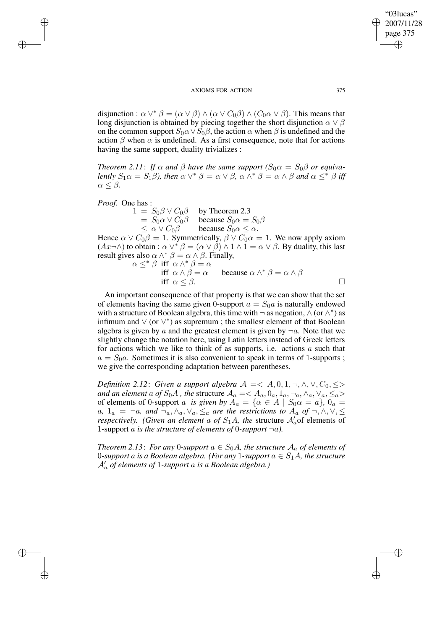disjunction :  $\alpha \vee^* \beta = (\alpha \vee \beta) \wedge (\alpha \vee C_0 \beta) \wedge (C_0 \alpha \vee \beta)$ . This means that long disjunction is obtained by piecing together the short disjunction  $\alpha \vee \beta$ on the common support  $S_0 \alpha \vee S_0 \beta$ , the action  $\alpha$  when  $\beta$  is undefined and the action  $\beta$  when  $\alpha$  is undefined. As a first consequence, note that for actions having the same support, duality trivializes :

*Theorem* 2.11: *If*  $\alpha$  *and*  $\beta$  *have the same support*  $(S_0 \alpha = S_0 \beta$  *or equivalently*  $S_1 \alpha = S_1 \beta$ *), then*  $\alpha \vee^* \beta = \alpha \vee \beta$ ,  $\alpha \wedge^* \beta = \alpha \wedge \beta$  and  $\alpha \leq^* \beta$  iff  $\alpha \leq \beta$ .

*Proof.* One has :

✐

✐

✐

✐

 $1 = S_0 \beta \vee C_0 \beta$  by Theorem 2.3  $= S_0 \alpha \vee C_0 \beta$  because  $S_0 \alpha = S_0 \beta$  $\leq \alpha \vee C_0 \beta$  because  $S_0 \alpha \leq \alpha$ .

Hence  $\alpha \vee C_0 \beta = 1$ . Symmetrically,  $\beta \vee C_0 \alpha = 1$ . We now apply axiom  $(Ax\neg\wedge)$  to obtain :  $\alpha \vee^* \beta = (\alpha \vee \beta) \wedge 1 \wedge 1 = \alpha \vee \beta$ . By duality, this last result gives also  $\alpha \wedge^* \beta = \alpha \wedge \beta$ . Finally,

$$
\alpha \leq^* \beta \text{ iff } \alpha \wedge^* \beta = \alpha
$$
  
iff  $\alpha \wedge \beta = \alpha$  because  $\alpha \wedge^* \beta = \alpha \wedge \beta$   
iff  $\alpha \leq \beta$ .

An important consequence of that property is that we can show that the set of elements having the same given 0-support  $a = S_0 a$  is naturally endowed with a structure of Boolean algebra, this time with  $\neg$  as negation,  $\wedge$  (or  $\wedge^*$ ) as infimum and ∨ (or ∨ ∗ ) as supremum ; the smallest element of that Boolean algebra is given by a and the greatest element is given by  $\neg a$ . Note that we slightly change the notation here, using Latin letters instead of Greek letters for actions which we like to think of as supports, i.e. actions  $a$  such that  $a = S_0a$ . Sometimes it is also convenient to speak in terms of 1-supports; we give the corresponding adaptation between parentheses.

*Definition* 2.12: *Given a support algebra*  $A = \langle A, 0, 1, \neg, \wedge, \vee, C_0, \le \rangle$ *and an element* a *of*  $S_0A$ , the structure  $A_a = \langle A_a, 0_a, 1_a, \neg_a, \wedge_a, \vee_a, \leq_a \rangle$ of elements of 0-support a *is given by*  $A_a = \{ \alpha \in A \mid S_0 \alpha = a \}, \space 0_a = a$ a,  $1_a = \neg a$ , and  $\neg a, \land a, \lor a, \leq_a$  are the restrictions to  $A_a$  of  $\neg, \land, \lor, \leq_a$ *respectively. (Given an element a of*  $S_1A$ *, the structure*  $\mathcal{A}'_a$  *of elements of* 1-support a is the structure of elements of 0-support  $\neg a$ ).

*Theorem* 2.13: *For any* 0*-support*  $a \in S_0A$ *, the structure*  $A_a$  *of elements of* 0-support a is a Boolean algebra. (For any 1-support  $a \in S_1A$ , the structure A0 <sup>a</sup> *of elements of* 1*-support* a *is a Boolean algebra.)*

"03lucas" 2007/11/28 page 375

✐

✐

✐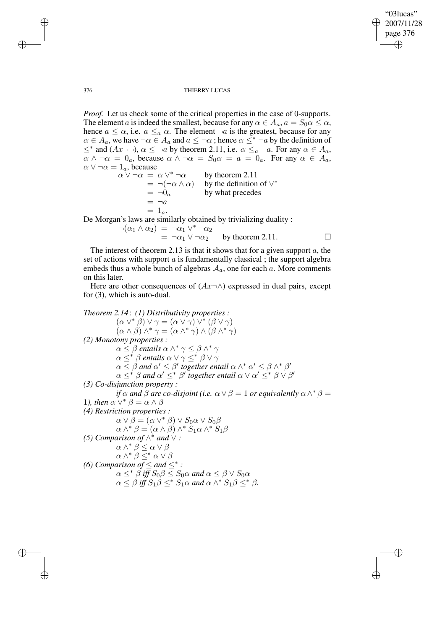✐

### 376 THIERRY LUCAS

*Proof.* Let us check some of the critical properties in the case of 0-supports. The element a is indeed the smallest, because for any  $\alpha \in A_a$ ,  $a = S_0 \alpha \leq \alpha$ , hence  $a \leq \alpha$ , i.e.  $a \leq_a \alpha$ . The element  $\neg a$  is the greatest, because for any  $\alpha \in A_a$ , we have  $\neg \alpha \in A_a$  and  $a \leq \neg \alpha$ ; hence  $\alpha \leq^* \neg a$  by the definition of  $\leq^*$  and  $(Ax \neg \neg)$ ,  $\alpha \leq \neg a$  by theorem 2.11, i.e.  $\alpha \leq_a \neg a$ . For any  $\alpha \in A_a$ ,  $\alpha \wedge \neg \alpha = 0_a$ , because  $\alpha \wedge \neg \alpha = S_0 \alpha = a = 0_a$ . For any  $\alpha \in A_a$ ,  $\alpha \vee \neg \alpha = 1_a$ , because

 $\alpha \vee \neg \alpha \ = \ \alpha \vee^* \neg \alpha$ by theorem 2.11  $= \neg(\neg \alpha \wedge \alpha)$  by the definition of  $\vee^*$  $= \neg 0_a$  by what precedes  $= \neg a$  $= 1_a$ .

De Morgan's laws are similarly obtained by trivializing duality :

$$
\neg(\alpha_1 \land \alpha_2) = \neg \alpha_1 \lor^* \neg \alpha_2
$$
  
=  $\neg \alpha_1 \lor \neg \alpha_2$  by theorem 2.11.

The interest of theorem 2.13 is that it shows that for a given support  $a$ , the set of actions with support  $a$  is fundamentally classical; the support algebra embeds thus a whole bunch of algebras  $A_a$ , one for each a. More comments on this later.

Here are other consequences of  $(Ax\neg\wedge)$  expressed in dual pairs, except for (3), which is auto-dual.

*Theorem 2.14*: *(1) Distributivity properties :*  $(\alpha \vee^* \beta) \vee \gamma = (\alpha \vee \gamma) \vee^* (\beta \vee \gamma)$  $(\alpha \wedge \beta) \wedge^* \gamma = (\alpha \wedge^* \gamma) \wedge (\beta \wedge^* \gamma)$ *(2) Monotony properties :*  $\alpha \leq \beta$  *entails*  $\alpha \wedge^* \gamma \leq \beta \wedge^* \gamma$  $\alpha \leq^* \beta$  *entails*  $\alpha \vee \gamma \leq^* \beta \vee \gamma$  $\alpha \leq \beta$  and  $\alpha' \leq \beta'$  together entail  $\alpha \wedge^* \alpha' \leq \beta \wedge^* \beta'$  $\alpha \leq^* \beta$  and  $\alpha' \leq^* \beta'$  together entail  $\alpha \vee \alpha' \leq^* \beta \vee \beta'$ *(3) Co-disjunction property : if*  $\alpha$  *and*  $\hat{\beta}$  *are co-disjoint* (*i.e.*  $\alpha \vee \beta = 1$  *or equivalently*  $\alpha \wedge^* \beta =$ 1*),* then  $\alpha \vee^* \beta = \alpha \wedge \beta$ *(4) Restriction properties :*  $\alpha \vee \beta = (\alpha \vee^* \beta) \vee S_0 \alpha \vee S_0 \beta$  $\alpha \wedge^* \beta = (\alpha \wedge \beta) \wedge^* S_1 \alpha \wedge^* S_1 \beta$ *(5) Comparison of*  $\wedge^*$  *and*  $\vee$  *:*  $\alpha \wedge^* \beta \leq \alpha \vee \beta$  $\alpha \wedge^* \beta \leq^* \alpha \vee \beta$ *(6) Comparison of*  $\leq$  *and*  $\leq^*$  *:*  $\alpha \leq^* \beta$  iff  $S_0 \beta \leq S_0 \alpha$  and  $\alpha \leq \beta \vee S_0 \alpha$  $\alpha \leq \beta$  *iff*  $S_1 \beta \leq^* S_1 \alpha$  *and*  $\alpha \wedge^* S_1 \beta \leq^* \beta$ *.* 

✐

✐

✐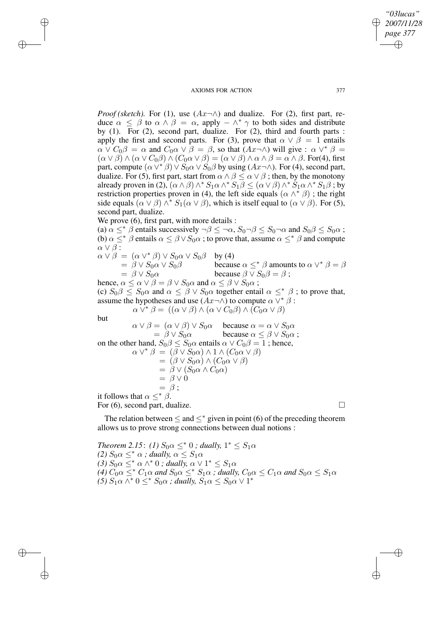*Proof* (*sketch*). For (1), use  $(Ax\neg\wedge)$  and dualize. For (2), first part, reduce  $\alpha \leq \beta$  to  $\alpha \wedge \beta = \alpha$ , apply  $-\wedge^* \gamma$  to both sides and distribute by (1). For (2), second part, dualize. For (2), third and fourth parts : apply the first and second parts. For (3), prove that  $\alpha \vee \beta = 1$  entails  $\alpha \vee C_0 \beta = \alpha$  and  $C_0 \alpha \vee \beta = \beta$ , so that  $(Ax \neg \wedge)$  will give :  $\alpha \vee^* \beta =$  $(\alpha \vee \beta) \wedge (\alpha \vee C_0 \beta) \wedge (C_0 \alpha \vee \beta) = (\alpha \vee \beta) \wedge \alpha \wedge \beta = \alpha \wedge \beta$ . For(4), first part, compute  $(\alpha \vee^* \beta) \vee S_0 \alpha \vee S_0 \beta$  by using  $(Ax \neg \wedge)$ . For (4), second part, dualize. For (5), first part, start from  $\alpha \wedge \beta \leq \alpha \vee \beta$ ; then, by the monotony already proven in (2),  $(\alpha \wedge \beta) \wedge^* S_1 \alpha \wedge^* S_1 \beta \leq (\alpha \vee \beta) \wedge^* S_1 \alpha \wedge^* S_1 \beta$ ; by restriction properties proven in (4), the left side equals  $(\alpha \wedge^* \beta)$ ; the right side equals  $(\alpha \vee \beta) \wedge^* S_1(\alpha \vee \beta)$ , which is itself equal to  $(\alpha \vee \beta)$ . For (5), second part, dualize.

We prove  $(6)$ , first part, with more details : (a)  $\alpha \leq^* \beta$  entails successively  $\neg \beta \leq \neg \alpha$ ,  $S_0 \neg \beta \leq S_0 \neg \alpha$  and  $S_0 \beta \leq S_0 \alpha$ ; (b)  $\alpha \leq^* \beta$  entails  $\alpha \leq \beta \vee S_0 \alpha$ ; to prove that, assume  $\alpha \leq^* \beta$  and compute  $\alpha \vee \beta$  :  $\alpha \vee \beta = (\alpha \vee^* \beta) \vee S_0 \alpha \vee S_0 \beta$  by (4)  $= \beta \vee S_0 \alpha \vee S_0 \beta$  because  $\alpha \leq^* \beta$  amounts to  $\alpha \vee^* \beta = \beta$  $= \beta \vee S_0 \alpha$  because  $\beta \vee S_0 \beta = \beta$ ; hence,  $\alpha \leq \alpha \vee \beta = \beta \vee S_0 \alpha$  and  $\alpha \leq \beta \vee S_0 \alpha$ ; (c)  $S_0 \beta \leq S_0 \alpha$  and  $\alpha \leq \beta \vee S_0 \alpha$  together entail  $\alpha \leq^* \beta$ ; to prove that, assume the hypotheses and use  $(Ax\neg\wedge)$  to compute  $\alpha \vee^* \beta$ :  $\alpha \vee^* \beta = ((\alpha \vee \beta) \wedge (\alpha \vee C_0 \beta) \wedge (C_0 \alpha \vee \beta))$ but  $\alpha \vee \beta = (\alpha \vee \beta) \vee S_0 \alpha$  because  $\alpha = \alpha \vee S_0 \alpha$ <br>=  $\beta \vee S_0 \alpha$  because  $\alpha \leq \beta \vee S_0 \alpha$ because  $\alpha \leq \beta \vee S_0 \alpha$ ; on the other hand,  $S_0 \beta \leq S_0 \alpha$  entails  $\alpha \vee C_0 \beta = 1$ ; hence,  $\alpha \vee^* \beta = (\overline{\beta} \vee \overline{S_0 \alpha}) \wedge 1 \wedge (C_0 \alpha \vee \beta)$  $= (\beta \vee S_0 \alpha) \wedge (C_0 \alpha \vee \beta)$  $= \beta \vee (S_0 \alpha \wedge C_0 \alpha)$  $=$   $\beta \vee 0$  $= \beta$ ;

it follows that  $\alpha <^* \beta$ . For  $(6)$ , second part, dualize.

✐

✐

✐

✐

✐

✐

The relation between  $\leq$  and  $\leq^*$  given in point (6) of the preceding theorem allows us to prove strong connections between dual notions :

*Theorem* 2.15: *(1)*  $S_0 \alpha \leq^* 0$  *; dually,*  $1^* \leq S_1 \alpha$ *(2)*  $S_0 \alpha \leq^* \alpha$ ; *dually*,  $\alpha \leq S_1 \alpha$ (3)  $S_0 \alpha \leq^* \alpha \wedge^* 0$ ; *dually*,  $\alpha \vee 1^* \leq S_1 \alpha$ *(4)*  $C_0 \alpha \leq^* C_1 \alpha$  *and*  $S_0 \alpha \leq^* S_1 \alpha$  *; dually,*  $C_0 \alpha \leq C_1 \alpha$  *and*  $S_0 \alpha \leq S_1 \alpha$ *(5)*  $S_1 \alpha \wedge^* 0 \leq^* S_0 \alpha$ ; *dually,*  $S_1 \alpha \leq S_0 \alpha \vee 1^*$ 

*"03lucas" 2007/11/28 page 377*

✐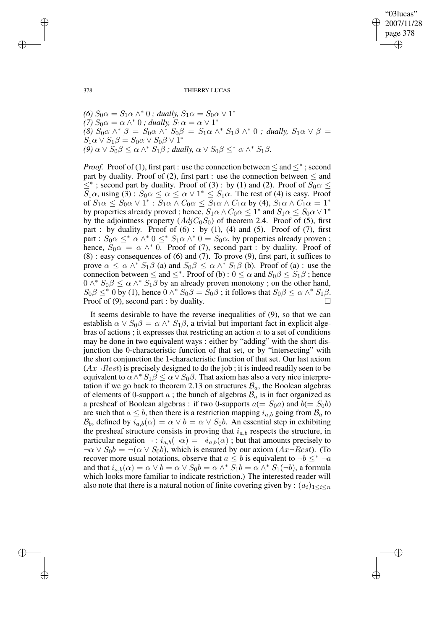"03lucas" 2007/11/28 page 378 ✐ ✐

✐

✐

378 THIERRY LUCAS

(6)  $S_0 \alpha = S_1 \alpha \wedge^* 0$ ; *dually*,  $S_1 \alpha = S_0 \alpha \vee 1^*$ *(7)*  $S_0 \alpha = \alpha \wedge^* 0$ ; *dually*,  $S_1 \alpha = \alpha \vee 1^*$ *(8)*  $S_0 \alpha \wedge^* \beta = S_0 \alpha \wedge^* S_0 \beta = S_1 \alpha \wedge^* S_1 \beta \wedge^* 0$ ; *dually,*  $S_1 \alpha \vee \beta =$  $S_1 \alpha \vee S_1 \beta = S_0 \alpha \vee S_0 \beta \vee 1^*$ *(9)*  $\alpha \vee S_0 \beta \leq \alpha \wedge^* S_1 \beta$  *; dually,*  $\alpha \vee S_0 \beta \leq^* \alpha \wedge^* S_1 \beta$ .

*Proof.* Proof of (1), first part : use the connection between  $\leq$  and  $\leq^*$ ; second part by duality. Proof of (2), first part : use the connection between  $\leq$  and  $\leq^*$ ; second part by duality. Proof of (3) : by (1) and (2). Proof of  $S_0 \alpha \leq$  $S_1\alpha$ , using  $(3)$ :  $S_0\alpha \leq \alpha \leq \alpha \vee 1^* \leq S_1\alpha$ . The rest of (4) is easy. Proof of  $S_1 \alpha \leq S_0 \alpha \vee 1^* : S_1 \alpha \wedge C_0 \alpha \leq S_1 \alpha \wedge C_1 \alpha$  by (4),  $S_1 \alpha \wedge C_1 \alpha = 1^*$ by properties already proved ; hence,  $S_1 \alpha \wedge C_0 \alpha \leq 1^*$  and  $S_1 \alpha \leq S_0 \alpha \vee 1^*$ by the adjointness property  $(Adj C_0 S_0)$  of theorem 2.4. Proof of (5), first part : by duality. Proof of  $(6)$  : by  $(1)$ ,  $(4)$  and  $(5)$ . Proof of  $(7)$ , first part :  $S_0 \alpha \leq^* \alpha \wedge^* 0 \leq^* S_1 \alpha \wedge^* 0 = S_0 \alpha$ , by properties already proven ; hence,  $S_0 \alpha = \alpha \wedge^* 0$ . Proof of (7), second part : by duality. Proof of (8) : easy consequences of (6) and (7). To prove (9), first part, it suffices to prove  $\alpha \leq \alpha \wedge^* S_1 \beta$  (a) and  $S_0 \beta \leq \alpha \wedge^* S_1 \beta$  (b). Proof of (a) : use the connection between  $\leq$  and  $\leq^*$ . Proof of (b) :  $0 \leq \alpha$  and  $S_0 \beta \leq S_1 \beta$ ; hence  $0 \wedge^* S_0 \beta \leq \alpha \wedge^* S_1 \beta$  by an already proven monotony; on the other hand,  $S_0\beta \leq^* 0$  by (1), hence  $0 \wedge^* S_0\beta = \hat{S}_0\beta$ ; it follows that  $S_0\beta \leq \alpha \wedge^* S_1\beta$ . Proof of (9), second part : by duality.

It seems desirable to have the reverse inequalities of (9), so that we can establish  $\alpha \vee S_0 \beta = \alpha \wedge^* S_1 \beta$ , a trivial but important fact in explicit algebras of actions; it expresses that restricting an action  $\alpha$  to a set of conditions may be done in two equivalent ways : either by "adding" with the short disjunction the 0-characteristic function of that set, or by "intersecting" with the short conjunction the 1-characteristic function of that set. Our last axiom  $(Ax\neg Rest)$  is precisely designed to do the job; it is indeed readily seen to be equivalent to  $\alpha \wedge^* S_1 \beta \leq \alpha \vee S_0 \beta$ . That axiom has also a very nice interpretation if we go back to theorem 2.13 on structures  $B_a$ , the Boolean algebras of elements of 0-support  $a$ ; the bunch of algebras  $B_a$  is in fact organized as a presheaf of Boolean algebras : if two 0-supports  $a(= S_0 a)$  and  $b(= S_0 b)$ are such that  $a \leq b$ , then there is a restriction mapping  $i_{a,b}$  going from  $\mathcal{B}_a$  to  $\mathcal{B}_b$ , defined by  $i_{a,b}(\alpha) = \alpha \vee b = \alpha \vee S_0b$ . An essential step in exhibiting the presheaf structure consists in proving that  $i_{a,b}$  respects the structure, in particular negation  $\neg : i_{a,b}(\neg \alpha) = \neg i_{a,b}(\alpha)$ ; but that amounts precisely to  $\neg \alpha \lor S_0b = \neg(\alpha \lor S_0b)$ , which is ensured by our axiom  $(Ax \neg Rest)$ . (To recover more usual notations, observe that  $a \leq b$  is equivalent to  $\neg b \leq^* \neg a$ and that  $i_{a,b}(\alpha) = \alpha \vee b = \alpha \vee S_0b = \alpha \wedge^* S_1b = \alpha \wedge^* S_1(\neg b)$ , a formula which looks more familiar to indicate restriction.) The interested reader will also note that there is a natural notion of finite covering given by :  $(a_i)_{1 \leq i \leq n}$ 

✐

✐

✐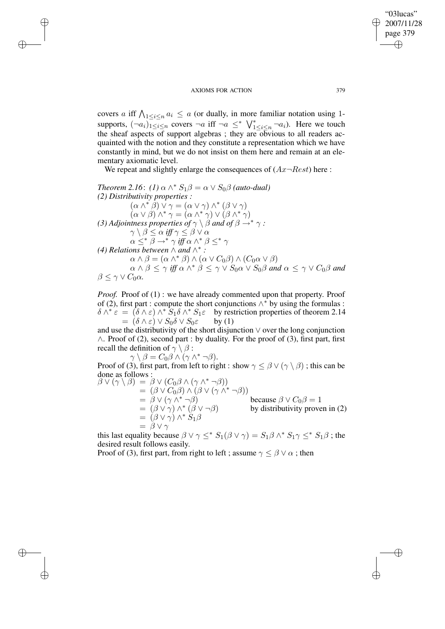✐

✐

✐

✐

covers a iff  $\bigwedge_{1 \leq i \leq n} a_i \leq a$  (or dually, in more familiar notation using 1supports,  $(\neg a_i)_{1\leq i\leq n}$  covers  $\neg a$  iff  $\neg a \leq^* \bigvee_{1\leq i\leq n}^* \neg a_i$ . Here we touch the sheaf aspects of support algebras; they are  $\overline{ob}$ vious to all readers acquainted with the notion and they constitute a representation which we have constantly in mind, but we do not insist on them here and remain at an elementary axiomatic level.

We repeat and slightly enlarge the consequences of  $(Ax \neg Rest)$  here :

*Theorem* 2.16: (1)  $\alpha \wedge^* S_1 \beta = \alpha \vee S_0 \beta$  (auto-dual) *(2) Distributivity properties :*  $(\alpha \wedge^* \beta) \vee \gamma = (\alpha \vee \gamma) \wedge^* (\beta \vee \gamma)$  $(\alpha \vee \beta) \wedge^* \gamma = (\alpha \wedge^* \gamma) \vee (\beta \wedge^* \gamma)$ *(3) Adjointness properties of*  $\gamma \setminus \beta$  *and of*  $\beta \rightarrow^* \gamma$  :  $\gamma \setminus \beta \leq \alpha \; \mathit{iff} \; \gamma \leq \beta \vee \alpha$  $\alpha \leq^* \beta \rightarrow^* \gamma$  *iff*  $\alpha \wedge^* \beta \leq^* \gamma$ *(4) Relations between*  $\wedge$  *and*  $\wedge^*$  *:*  $\alpha \wedge \beta = (\alpha \wedge^* \beta) \wedge (\alpha \vee C_0 \beta) \wedge (C_0 \alpha \vee \beta)$  $\alpha \wedge \beta \leq \gamma$  *iff*  $\alpha \wedge^* \beta \leq \gamma \vee S_0 \alpha \vee S_0 \beta$  *and*  $\alpha \leq \gamma \vee C_0 \beta$  *and*  $β < γ ∨ C<sub>0</sub>α.$ 

*Proof.* Proof of (1): we have already commented upon that property. Proof of (2), first part : compute the short conjunctions  $\wedge^*$  by using the formulas :  $\delta \wedge^* \varepsilon = (\delta \wedge \varepsilon) \wedge^* S_1 \delta \wedge^* S_1 \varepsilon$  by restriction properties of theorem 2.14  $= (\delta \wedge \varepsilon) \vee S_0 \delta \vee S_0 \varepsilon$  by (1)

and use the distributivity of the short disjunction ∨ over the long conjunction ∧. Proof of (2), second part : by duality. For the proof of (3), first part, first recall the definition of  $\gamma \setminus \beta$ :

 $\gamma \setminus \beta = C_0 \beta \wedge (\gamma \wedge^* \neg \beta).$ Proof of (3), first part, from left to right : show  $\gamma \leq \beta \vee (\gamma \setminus \beta)$ ; this can be done as follows :

 $\beta \vee (\gamma \setminus \beta) = \beta \vee (C_0 \beta \wedge (\gamma \wedge^* \neg \beta))$  $= (\beta \vee C_0 \beta) \wedge (\beta \vee (\gamma \wedge^* \neg \beta))$  $= \hat{\beta} \vee (\gamma \wedge^* \neg \beta)$  because  $\beta \vee C_0 \beta = 1$  $=$   $(\beta \vee \gamma) \wedge^* (\beta \vee \neg \beta)$  by distributivity proven in (2)  $= (\beta \vee \gamma) \wedge^* \check{S}_1 \beta$  $=$   $\ddot{\beta}$   $\vee$   $\gamma$ 

this last equality because  $\beta \vee \gamma \leq^* S_1(\beta \vee \gamma) = S_1 \beta \wedge^* S_1 \gamma \leq^* S_1 \beta$ ; the desired result follows easily.

Proof of (3), first part, from right to left ; assume  $\gamma \leq \beta \vee \alpha$ ; then

"03lucas" 2007/11/28 page 379

✐

✐

✐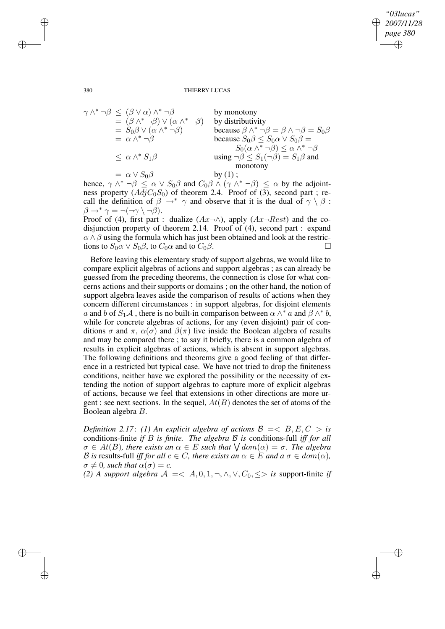✐

#### 380 THIERRY LUCAS

$$
\gamma \wedge^* \neg \beta \leq (\beta \vee \alpha) \wedge^* \neg \beta
$$
 by monotony  
\n
$$
= (\beta \wedge^* \neg \beta) \vee (\alpha \wedge^* \neg \beta)
$$
 by distributivity  
\n
$$
= S_0 \beta \vee (\alpha \wedge^* \neg \beta)
$$
 because  $\beta \wedge^* \neg \beta = \beta \wedge \neg \beta = S_0 \beta$   
\n
$$
= \alpha \wedge^* \neg \beta
$$
 because  $S_0 \beta \leq S_0 \alpha \vee S_0 \beta =$   
\n
$$
\leq \alpha \wedge^* S_1 \beta
$$
 using  $\neg \beta \leq S_1(\neg \beta) = S_1 \beta$  and  
\nmonotony  
\n
$$
= \alpha \vee S_0 \beta
$$
 by (1);

hence,  $\gamma \wedge^* \neg \beta \leq \alpha \vee S_0 \beta$  and  $C_0 \beta \wedge (\gamma \wedge^* \neg \beta) \leq \alpha$  by the adjointness property  $(AdjC_0S_0)$  of theorem 2.4. Proof of (3), second part ; recall the definition of  $\beta \rightarrow^* \gamma$  and observe that it is the dual of  $\gamma \setminus \beta$ :  $\beta \rightarrow^* \gamma = \neg(\neg \gamma \setminus \neg \beta).$ 

Proof of (4), first part : dualize  $(Ax\neg\wedge)$ , apply  $(Ax\neg Rest)$  and the codisjunction property of theorem 2.14. Proof of (4), second part : expand  $\alpha \wedge \beta$  using the formula which has just been obtained and look at the restrictions to  $S_0 \alpha \vee S_0 \beta$ , to  $C_0 \alpha$  and to  $C_0 \beta$ .

Before leaving this elementary study of support algebras, we would like to compare explicit algebras of actions and support algebras ; as can already be guessed from the preceding theorems, the connection is close for what concerns actions and their supports or domains ; on the other hand, the notion of support algebra leaves aside the comparison of results of actions when they concern different circumstances : in support algebras, for disjoint elements a and b of  $S_1A$ , there is no built-in comparison between  $\alpha \wedge^* a$  and  $\beta \wedge^* b$ , while for concrete algebras of actions, for any (even disjoint) pair of conditions  $\sigma$  and  $\pi$ ,  $\alpha(\sigma)$  and  $\beta(\pi)$  live inside the Boolean algebra of results and may be compared there ; to say it briefly, there is a common algebra of results in explicit algebras of actions, which is absent in support algebras. The following definitions and theorems give a good feeling of that difference in a restricted but typical case. We have not tried to drop the finiteness conditions, neither have we explored the possibility or the necessity of extending the notion of support algebras to capture more of explicit algebras of actions, because we feel that extensions in other directions are more urgent : see next sections. In the sequel,  $At(B)$  denotes the set of atoms of the Boolean algebra B.

*Definition* 2.17: (1) An explicit algebra of actions  $\mathcal{B} = \langle B, E, C \rangle$  is conditions-finite *if* B *is finite. The algebra* B *is* conditions-full *iff for all*  $\sigma \in At(B)$ , there exists an  $\alpha \in E$  such that  $\bigvee dom(\alpha) = \sigma$ . The algebra B is results-full *iff for all*  $c \in C$ *, there exists an*  $\alpha \in E$  *and*  $a \sigma \in dom(\alpha)$ *,*  $\sigma \neq 0$ *, such that*  $\alpha(\sigma) = c$ *.* 

*(2) A support algebra*  $A = \langle A, 0, 1, \neg, \wedge, \vee, C_0, \le \rangle$  *is* support-finite *if* 

✐

✐

✐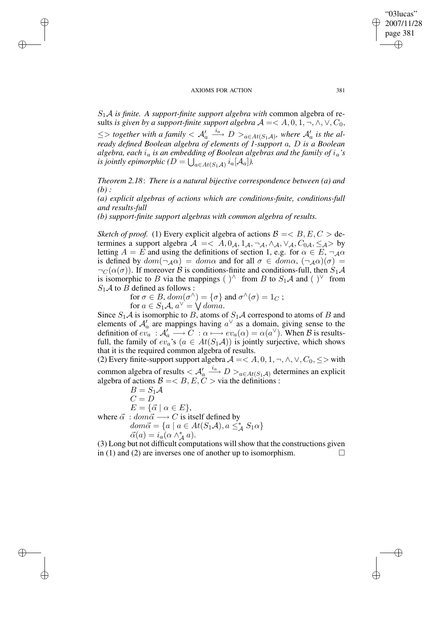✐

✐

✐

✐

S1A *is finite. A support-finite support algebra with* common algebra of results *is given by a support-finite support algebra*  $A = < A, 0, 1, \neg, \wedge, \vee, C_0$ ,  $\leq$  > together with a family  $\lt A'_a \xrightarrow{i_a} D >_{a \in At(S_1\mathcal{A})}$ , where  $\mathcal{A}'_a$  is the al*ready defined Boolean algebra of elements of 1-support* a*,* D *is a Boolean algebra, each* i<sup>a</sup> *is an embedding of Boolean algebras and the family of* ia*'s is jointly epimorphic* ( $D = \bigcup_{a \in At(S_1\mathcal{A})} i_a[\mathcal{A}_a]$ ).

*Theorem 2.18*: *There is a natural bijective correspondence between (a) and (b) :*

*(a) explicit algebras of actions which are conditions-finite, conditions-full and results-full*

*(b) support-finite support algebras with common algebra of results.*

*Sketch of proof.* (1) Every explicit algebra of actions  $\mathcal{B} = \langle B, E, C \rangle$  determines a support algebra  $\mathcal{A} = \langle A, 0_A, 1_A, \neg_A, \wedge_A, \vee_A, C_{0A}, \leq_{\mathcal{A}} \rangle$  by letting  $A = E$  and using the definitions of section 1, e.g. for  $\alpha \in E$ ,  $\neg A\alpha$ is defined by  $dom(\neg_A\alpha) = dom\alpha$  and for all  $\sigma \in dom\alpha$ ,  $(\neg_A\alpha)(\sigma) =$  $\neg_C(\alpha(\sigma))$ . If moreover B is conditions-finite and conditions-full, then  $S_1\mathcal{A}$ is isomorphic to B via the mappings ( )^ from B to  $S_1A$  and ( )<sup> $\vee$ </sup> from  $S_1$  A to B defined as follows :

> for  $\sigma \in B$ ,  $dom(\sigma^{\wedge}) = {\sigma}$  and  $\sigma^{\wedge}(\sigma) = 1_C$ ; for  $a \in S_1 \mathcal{A}, a^{\vee} = \bigvee \overline{dom} a$ .

Since  $S_1A$  is isomorphic to B, atoms of  $S_1A$  correspond to atoms of B and elements of  $\mathcal{A}'_a$  are mappings having  $a^{\vee}$  as a domain, giving sense to the definition of  $ev_a : A'_a \longrightarrow \overline{C} : \alpha \longmapsto ev_a(\alpha) = \alpha(a^{\vee})$ . When B is resultsfull, the family of  $ev_a$ 's  $(a \in At(S_1\mathcal{A}))$  is jointly surjective, which shows that it is the required common algebra of results.

(2) Every finite-support support algebra  $A = < A, 0, 1, \neg, \wedge, \vee, C_0, \leq$  with common algebra of results  $< A'_a \stackrel{i_a}{\longrightarrow} D >_{a \in At(S_1, A)}$  determines an explicit algebra of actions  $B = < B, E, C > \text{via}$  the definitions :

 $B = S_1 \mathcal{A}$  $C = D$  $E = {\vec{\alpha} \mid \alpha \in E},$ where  $\vec{\alpha} : dom \vec{\alpha} \longrightarrow C$  is itself defined by  $dom\vec{\alpha} = \{a \mid a \in At(S_1\mathcal{A}), a \leq_{\mathcal{A}}^* S_1\alpha\}$  $\vec{\alpha}(a) = i_a(\alpha \wedge_A^* a).$ 

(3) Long but not difficult computations willshow that the constructions given in (1) and (2) are inverses one of another up to isomorphism.

"03lucas" 2007/11/28 page 381

✐

✐

✐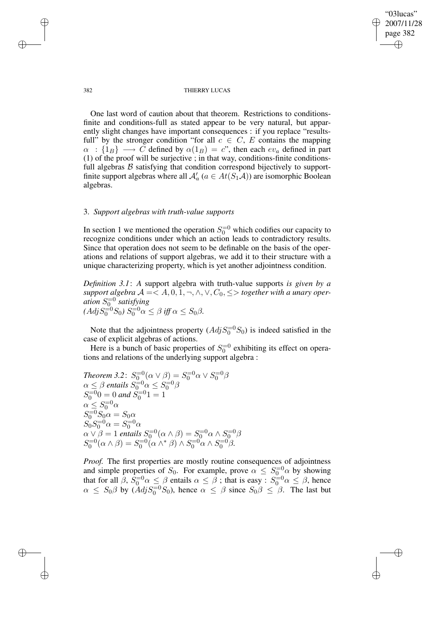✐

#### 382 THIERRY LUCAS

One last word of caution about that theorem. Restrictions to conditionsfinite and conditions-full as stated appear to be very natural, but apparently slight changes have important consequences : if you replace "resultsfull" by the stronger condition "for all  $c \in C$ , E contains the mapping  $\alpha$  :  $\{1_B\} \longrightarrow C$  defined by  $\alpha(1_B) = c$ ", then each  $ev_a$  defined in part (1) of the proof will be surjective ; in that way, conditions-finite conditionsfull algebras  $B$  satisfying that condition correspond bijectively to supportfinite support algebras where all  $\mathcal{A}'_a$   $(a \in At(S_1\mathcal{A}))$  are isomorphic Boolean algebras.

# 3. *Support algebras with truth-value supports*

In section 1 we mentioned the operation  $S_0^{-0}$  which codifies our capacity to recognize conditions under which an action leads to contradictory results. Since that operation does not seem to be definable on the basis of the operations and relations of support algebras, we add it to their structure with a unique characterizing property, which is yet another adjointness condition.

*Definition 3.1*: *A* support algebra with truth-value supports *is given by a support algebra*  $A = < A, 0, 1, \neg, \wedge, \vee, C_0, \leq>$  *together with a unary operation* S =0 0 *satisfying*  $(AdjS_0^{-0}S_0) S_0^{-0} \alpha \leq \beta \text{ iff } \alpha \leq S_0 \beta.$ 

Note that the adjointness property  $(Adj S_0^{-0} S_0)$  is indeed satisfied in the case of explicit algebras of actions.

Here is a bunch of basic properties of  $S_0^{-0}$  exhibiting its effect on operations and relations of the underlying support algebra :

Theorem 3.2: 
$$
S_0^{-0}(\alpha \vee \beta) = S_0^{-0} \alpha \vee S_0^{-0} \beta
$$
  
\n $\alpha \leq \beta$  entails  $S_0^{-0} \alpha \leq S_0^{-0} \beta$   
\n $S_0^{-0} 0 = 0$  and  $S_0^{-0} 1 = 1$   
\n $\alpha \leq S_0^{-0} \alpha$   
\n $S_0^{-0} S_0 \alpha = S_0 \alpha$   
\n $S_0 S_0^{-0} \alpha = S_0^{-0} \alpha$   
\n $\alpha \vee \beta = 1$  entails  $S_0^{-0}(\alpha \wedge \beta) = S_0^{-0} \alpha \wedge S_0^{-0} \beta$   
\n $S_0^{-0}(\alpha \wedge \beta) = S_0^{-0}(\alpha \wedge^* \beta) \wedge S_0^{-0} \alpha \wedge S_0^{-0} \beta$ .

*Proof.* The first properties are mostly routine consequences of adjointness and simple properties of  $S_0$ . For example, prove  $\alpha \leq S_0^{-0} \alpha$  by showing that for all  $\beta$ ,  $S_0=0$   $\alpha \le \beta$  entails  $\alpha \le \beta$ ; that is easy :  $S_0=0$   $\alpha \le \beta$ , hence  $\alpha \leq S_0 \beta$  by  $(\overline{Adj}S_0^{-0}S_0)$ , hence  $\alpha \leq \beta$  since  $S_0 \beta \leq \beta$ . The last but

✐

✐

✐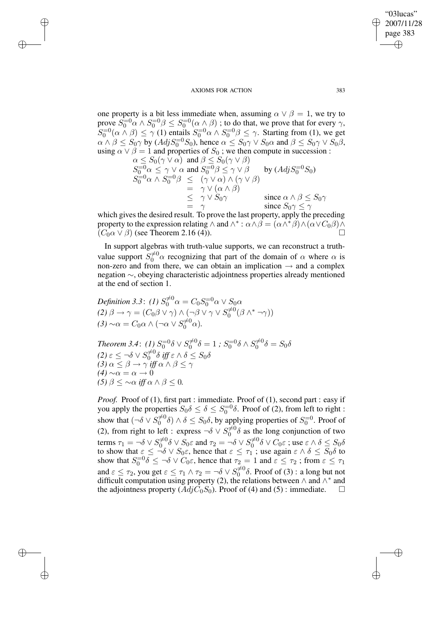$\rightarrow$ 

 $\rightarrow$ 

✐

✐

one property is a bit less immediate when, assuming  $\alpha \vee \beta = 1$ , we try to prove  $S_0^{-0} \alpha \wedge S_0^{-0} \beta \leq S_0^{-0} (\alpha \wedge \beta)$ ; to do that, we prove that for every  $\gamma$ ,  $S_0^{-0}(\alpha \wedge \beta) \le \gamma$  (1) entails  $S_0^{-0} \alpha \wedge S_0^{-0} \beta \le \gamma$ . Starting from (1), we get  $\alpha \wedge \beta \leq S_0 \gamma$  by  $(Adj S_0^{-0} S_0)$ , hence  $\alpha \leq S_0 \gamma \vee S_0 \alpha$  and  $\beta \leq S_0 \gamma \vee S_0 \beta$ , using  $\alpha \vee \beta = 1$  and properties of  $S_0$ ; we then compute in succession:

$$
\alpha \leq S_0(\gamma \vee \alpha) \text{ and } \beta \leq S_0(\gamma \vee \beta)
$$
  
\n
$$
S_0^{-0} \alpha \leq \gamma \vee \alpha \text{ and } S_0^{-0} \beta \leq \gamma \vee \beta \text{ by } (Adj S_0^{-0} S_0)
$$
  
\n
$$
S_0^{-0} \alpha \wedge S_0^{-0} \beta \leq (\gamma \vee \alpha) \wedge (\gamma \vee \beta)
$$
  
\n
$$
= \gamma \vee (\alpha \wedge \beta)
$$
  
\n
$$
\leq \gamma \vee S_0 \gamma \text{ since } \alpha \wedge \beta \leq S_0 \gamma
$$
  
\n
$$
= \gamma \text{ since } S_0 \gamma \leq \gamma
$$

which gives the desired result. To prove the last property, apply the preceding property to the expression relating  $\wedge$  and  $\wedge^* : \alpha \wedge \beta = (\alpha \wedge^* \beta) \wedge (\alpha \vee C_0 \beta) \wedge$  $(C_0 \alpha \vee \beta)$  (see Theorem 2.16 (4)).

In support algebras with truth-value supports, we can reconstruct a truthvalue support  $S_0^{\neq 0}$  a recognizing that part of the domain of  $\alpha$  where  $\alpha$  is non-zero and from there, we can obtain an implication  $\rightarrow$  and a complex negation ∼, obeying characteristic adjointness properties already mentioned at the end of section 1.

Definition 3.3: (1) 
$$
S_0^{\neq 0} \alpha = C_0 S_0^{-0} \alpha \vee S_0 \alpha
$$
  
(2)  $\beta \rightarrow \gamma = (C_0 \beta \vee \gamma) \wedge (\neg \beta \vee \gamma \vee S_0^{\neq 0} (\beta \wedge^* \neg \gamma))$   
(3)  $\sim \alpha = C_0 \alpha \wedge (\neg \alpha \vee S_0^{\neq 0} \alpha)$ .

*Theorem 3.4*: *(1)*  $S_0^{=0} \delta \vee S_0^{\neq 0}$  $S_0^{\neq 0}\delta=1$  ;  $S_0^{\neq 0}\delta\wedge S_0^{\neq 0}$  $\delta_0^{\neq 0} \delta = S_0 \delta$ *(2)* ε  $≤$  ¬δ ∨  $S_0^{≠0}$  $\int_0^{\neq 0} \delta \; \mathit{iff} \; \varepsilon \wedge \delta \leq S_0 \delta$ *(3)*  $\alpha \leq \beta \rightarrow \gamma$  *iff*  $\alpha \wedge \beta \leq \gamma$  $(4) \sim \alpha = \alpha \to 0$ *(5)*  $\beta \leq \sim \alpha$  *iff*  $\alpha \wedge \beta \leq 0$ .

*Proof.* Proof of (1), first part : immediate. Proof of (1), second part : easy if you apply the properties  $S_0 \delta \leq \delta \leq S_0^{-0} \delta$ . Proof of (2), from left to right : show that  $(\neg \delta \lor S_0^{\neq 0} \delta) \land \delta \leq S_0 \delta$ , by applying properties of  $S_0^{=0}$ . Proof of  $0 \quad 0 \land 0 \le 0.00$ , by applying properties of  $0.00$ (2), from right to left : express  $\neg \delta \vee S_0^{\neq 0}$  $\overline{0}^{\neq 0}$  as the long conjunction of two terms  $\tau_1 = \neg \delta \vee S_0^{\neq 0}$  $\int_0^{\neq 0} \delta \vee S_0 \varepsilon$  and  $\tau_2 = -\delta \vee S_0^{\neq 0}$  $\int_0^{\neq 0} \delta \vee C_0 \varepsilon$  ; use  $\varepsilon \wedge \delta \leq S_0 \delta$ to show that  $\varepsilon \leq \neg \delta \vee S_0 \varepsilon$ , hence that  $\varepsilon \leq \tau_1$ ; use again  $\varepsilon \wedge \delta \leq S_0 \delta$  to show that  $S_0^{-0}\delta \leq \neg \delta \vee C_0\varepsilon$ , hence that  $\tau_2 = 1$  and  $\varepsilon \leq \tau_2$ ; from  $\varepsilon \leq \tau_1$ and  $\varepsilon \leq \tau_2$ , you get  $\varepsilon \leq \tau_1 \wedge \tau_2 = \neg \delta \vee S_0^{\neq 0}$  $\int_0^{\neq 0} \delta$ . Proof of (3) : a long but not difficult computation using property (2), the relations between  $\wedge$  and  $\wedge^*$  and the adjointness property  $(Adj C_0 S_0)$ . Proof of (4) and (5) : immediate.

"03lucas" 2007/11/28 page 383

✐

✐

✐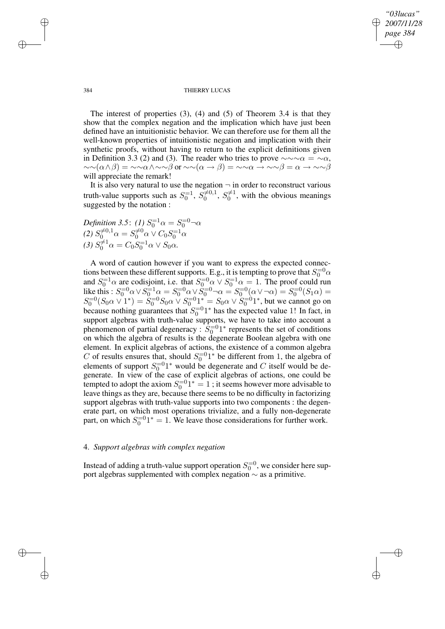✐

### 384 THIERRY LUCAS

The interest of properties (3), (4) and (5) of Theorem 3.4 is that they show that the complex negation and the implication which have just been defined have an intuitionistic behavior. We can therefore use for them all the well-known properties of intuitionistic negation and implication with their synthetic proofs, without having to return to the explicit definitions given in Definition 3.3 (2) and (3). The reader who tries to prove  $\sim \sim \alpha = \sim \alpha$ ,  $\sim \sim(\alpha \wedge \beta) = \sim \sim \alpha \wedge \sim \beta$  or  $\sim \sim(\alpha \to \beta) = \sim \sim \alpha \to \sim \sim \beta = \alpha \to \sim \gamma \beta$ will appreciate the remark!

It is also very natural to use the negation  $\neg$  in order to reconstruct various truth-value supports such as  $S_0^{-1}$ ,  $S_0^{\neq 0,1}$  $S_0^{\neq 0,1}, S_0^{\neq 1}$  $\overline{0}^{\neq 1}$ , with the obvious meanings suggested by the notation :

Definition 3.5: (1)  $S_0^{=1}\alpha = S_0^{=0} \neg \alpha$ *(2)*  $S_0^{\neq 0,1} \alpha = S_0^{\neq 0} \alpha \vee C_0 S_0^{-1} \alpha$ (3)  $S_0^{\neq 1} \alpha = C_0 S_0^{-1} \alpha \vee S_0 \alpha$ .

A word of caution however if you want to express the expected connections between these different supports. E.g., it is tempting to prove that  $S_0^{-0}\alpha$ and  $S_0^{-1}\alpha$  are codisjoint, i.e. that  $S_0^{-0}\alpha \vee S_0^{-1}\alpha = 1$ . The proof could run like this :  $S_0^{-0} \alpha \vee S_0^{-1} \alpha = S_0^{-0} \alpha \vee S_0^{-0} \alpha = S_0^{-0} (\alpha \vee \alpha) = S_0^{-0} (S_1 \alpha) =$  $S_0^{-0}(S_0 \alpha \vee 1^*) = S_0^{-0} S_0 \alpha \vee S_0^{-0} 1^* = S_0 \alpha \vee S_0^{-0} 1^*$ , but we cannot go on because nothing guarantees that  $S_0^{-0}1^*$  has the expected value 1! In fact, in support algebras with truth-value supports, we have to take into account a phenomenon of partial degeneracy :  $S_0^{-0}1^*$  represents the set of conditions on which the algebra of results is the degenerate Boolean algebra with one element. In explicit algebras of actions, the existence of a common algebra C of results ensures that, should  $S_0^{-0}1^*$  be different from 1, the algebra of elements of support  $S_0^{-0}1^*$  would be degenerate and C itself would be degenerate. In view of the case of explicit algebras of actions, one could be tempted to adopt the axiom  $S_0^{-0}1^* = 1$ ; it seems however more advisable to leave things as they are, because there seems to be no difficulty in factorizing support algebras with truth-value supports into two components : the degenerate part, on which most operations trivialize, and a fully non-degenerate part, on which  $S_0^{-0}1^* = 1$ . We leave those considerations for further work.

# 4. *Support algebras with complex negation*

Instead of adding a truth-value support operation  $S_0^{-0}$ , we consider here support algebras supplemented with complex negation ∼ as a primitive.

 $\rightarrow$ 

 $\rightarrow$ 

✐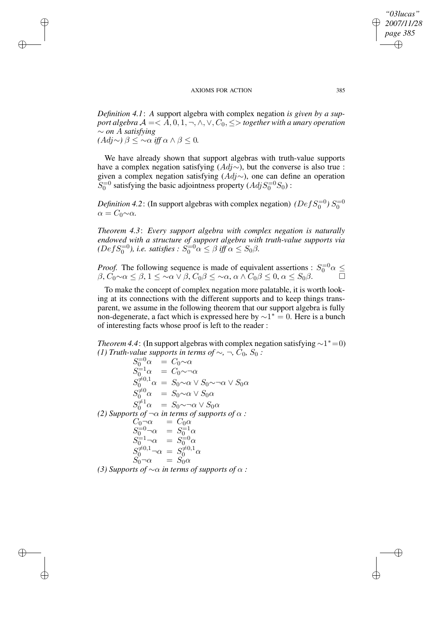$\rightarrow$ 

 $\rightarrow$ 

✐

✐

*Definition 4.1*: *A* support algebra with complex negation *is given by a support algebra*  $A = \langle A, 0, 1, \neg, \wedge, \vee, C_0, \leq \rangle$  *together with a unary operation* ∼ *on* A *satisfying (*Adj∼*)* β ≤ ∼α *iff* α ∧ β ≤ 0*.*

We have already shown that support algebras with truth-value supports have a complex negation satisfying  $(Adj \sim)$ , but the converse is also true : given a complex negation satisfying  $(Adj \sim)$ , one can define an operation  $S_0^{-0}$  satisfying the basic adjointness property  $(Adj S_0^{-0} S_0)$ :

*Definition* 4.2: (In support algebras with complex negation) *(Def*  $S_0^{-0}$ )  $S_0^{-0}$  $\alpha = C_0 \sim \alpha$ .

*Theorem 4.3*: *Every support algebra with complex negation is naturally endowed with a structure of support algebra with truth-value supports via*  $(DefS_0^{=0})$ , *i.e. satisfies*  $: S_0^{=0} \alpha \leq \beta$  *iff*  $\alpha \leq S_0 \beta$ .

*Proof.* The following sequence is made of equivalent assertions :  $S_0^{-0}\alpha \leq$  $\beta, \check{C_0} \sim \alpha \leq \beta, 1 \leq \sim \alpha \vee \beta, C_0 \beta \leq \sim \alpha, \alpha \wedge C_0 \beta \leq 0, \alpha \leq S_0 \beta.$ 

To make the concept of complex negation more palatable, it is worth looking at its connections with the different supports and to keep things transparent, we assume in the following theorem that our support algebra is fully non-degenerate, a fact which is expressed here by  $\sim 1^* = 0$ . Here is a bunch of interesting facts whose proof is left to the reader :

*Theorem* 4.4: (In support algebras with complex negation satisfying  $\sim$ 1<sup>\*</sup> $=$ 0) *(1) Truth-value supports in terms of* ∼*,* ¬*,*  $C_0$ *, S*<sup>0</sup> *:* 

 $S_0^{-0}\alpha = C_0 \sim \alpha$  $S_0^{-1} \alpha = C_0 \sim \neg \alpha$  $S_{0}^{\neq 0,1}\alpha = S_0 \sim \alpha \vee S_0 \sim \neg \alpha \vee S_0 \alpha$  $S_0^{\neq 0} \alpha = S_0 \sim \alpha \vee S_0 \alpha$  $S_0^{\neq 1} \alpha = S_0 \sim \neg \alpha \vee S_0 \alpha$ *(2) Supports of*  $\neg \alpha$  *in terms of supports of*  $\alpha$  *:*  $C_0 \neg \alpha = C_0 \alpha$  $S_0^{-0} \neg \alpha = S_0^{-1} \alpha$  $S_0^{-1} \neg \alpha = S_0^{-0} \alpha$  $S_0^{\neq 0,1} \neg \alpha = S_0^{\neq 0,1} \alpha$  $S_0 \neg \alpha = S_0 \alpha$ *(3) Supports of*  $\sim \alpha$  *in terms of supports of*  $\alpha$  *:* 

*"03lucas" 2007/11/28 page 385*

✐

✐

✐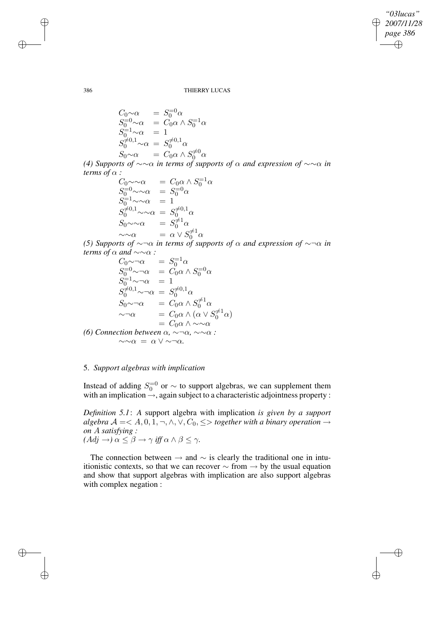*"03lucas" 2007/11/28 page 386* ✐ ✐

 $\bigoplus$ 

✐

386 THIERRY LUCAS

$$
C_0 \sim \alpha = S_0^{-0} \alpha
$$
  
\n
$$
S_0^{-0} \sim \alpha = C_0 \alpha \wedge S_0^{-1} \alpha
$$
  
\n
$$
S_0^{-1} \sim \alpha = 1
$$
  
\n
$$
S_0^{ \neq 0,1} \sim \alpha = S_0^{ \neq 0,1} \alpha
$$
  
\n
$$
S_0 \sim \alpha = C_0 \alpha \wedge S_0^{ \neq 0} \alpha
$$

*(4) Supports of* ∼∼α *in terms of supports of* α *and expression of* ∼∼α *in terms of*  $\alpha$  *:* 

$$
C_0 \sim \sim \alpha \qquad = C_0 \alpha \wedge S_0^{-1} \alpha
$$
  
\n
$$
S_0^{-0} \sim \sim \alpha \qquad = S_0^{-0} \alpha
$$
  
\n
$$
S_0^{-1} \sim \sim \alpha \qquad = 1
$$
  
\n
$$
S_0^{\neq 0,1} \sim \sim \alpha \qquad = S_0^{\neq 0,1} \alpha
$$
  
\n
$$
S_0 \sim \sim \alpha \qquad = S_0^{\neq 1} \alpha
$$
  
\n
$$
\sim \sim \alpha \qquad = \alpha \vee S_0^{\neq 1} \alpha
$$

*(5) Supports of* ∼¬α *in terms of supports of* α *and expression of* ∼¬α *in terms of*  $\alpha$  *and*  $\sim \sim \alpha$  *:* 

$$
C_0 \sim \neg \alpha = S_0^{-1} \alpha
$$
  
\n
$$
S_0^{-0} \sim \neg \alpha = C_0 \alpha \land S_0^{-0} \alpha
$$
  
\n
$$
S_0^{-1} \sim \neg \alpha = 1
$$
  
\n
$$
S_0^{\neq 0,1} \sim \neg \alpha = S_0^{\neq 0,1} \alpha
$$
  
\n
$$
S_0 \sim \neg \alpha = C_0 \alpha \land S_0^{\neq 1} \alpha
$$
  
\n
$$
\sim \neg \alpha = C_0 \alpha \land (\alpha \lor S_0^{\neq 1} \alpha)
$$
  
\n
$$
= C_0 \alpha \land \sim \neg \alpha
$$
  
\n(6) Connection between  $\alpha, \sim \neg \alpha, \sim \neg \alpha$ :  
\n
$$
\sim \neg \alpha = \alpha \lor \sim \neg \alpha.
$$

# 5. *Support algebras with implication*

Instead of adding  $S_0^{-0}$  or  $\sim$  to support algebras, we can supplement them with an implication  $\rightarrow$ , again subject to a characteristic adjointness property :

*Definition 5.1*: *A* support algebra with implication *is given by a support algebra*  $A = < A, 0, \overline{1}, \neg, \wedge, \vee, C_0, \leq>$  *together with a binary operation* → *on* A *satisfying :*  $(Adj \rightarrow) \alpha \leq \beta \rightarrow \gamma$  *iff*  $\alpha \wedge \beta \leq \gamma$ *.* 

The connection between  $\rightarrow$  and  $\sim$  is clearly the traditional one in intuitionistic contexts, so that we can recover  $\sim$  from  $\rightarrow$  by the usual equation and show that support algebras with implication are also support algebras with complex negation :

 $\rightarrow$ 

 $\rightarrow$ 

✐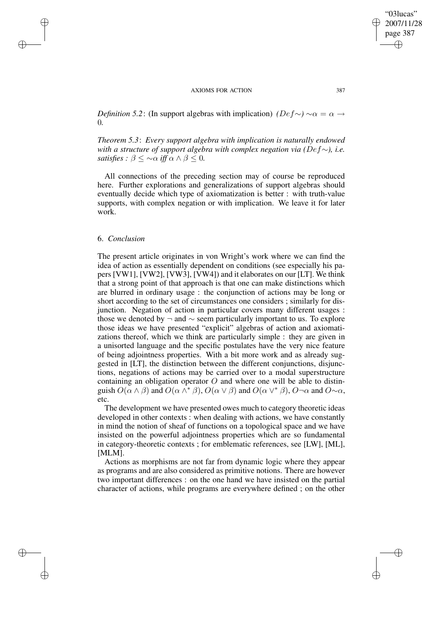*Definition* 5.2: (In support algebras with implication)  $(Def \sim) \sim \alpha = \alpha \rightarrow$ 0*.*

*Theorem 5.3*: *Every support algebra with implication is naturally endowed with a structure of support algebra with complex negation via (*Def∼*), i.e. satisfies*  $: \beta \leq \infty$  *a iff*  $\alpha \wedge \beta \leq 0$ .

All connections of the preceding section may of course be reproduced here. Further explorations and generalizations of support algebras should eventually decide which type of axiomatization is better : with truth-value supports, with complex negation or with implication. We leave it for later work.

## 6. *Conclusion*

 $\rightarrow$ 

 $\rightarrow$ 

✐

✐

The present article originates in von Wright's work where we can find the idea of action as essentially dependent on conditions (see especially his papers [VW1], [VW2], [VW3], [VW4]) and it elaborates on our [LT]. We think that a strong point of that approach is that one can make distinctions which are blurred in ordinary usage : the conjunction of actions may be long or short according to the set of circumstances one considers ; similarly for disjunction. Negation of action in particular covers many different usages : those we denoted by  $\neg$  and  $\sim$  seem particularly important to us. To explore those ideas we have presented "explicit" algebras of action and axiomatizations thereof, which we think are particularly simple : they are given in a unisorted language and the specific postulates have the very nice feature of being adjointness properties. With a bit more work and as already suggested in [LT], the distinction between the different conjunctions, disjunctions, negations of actions may be carried over to a modal superstructure containing an obligation operator  $O$  and where one will be able to distinguish  $O(\alpha \wedge \beta)$  and  $O(\alpha \wedge^* \beta)$ ,  $O(\alpha \vee \beta)$  and  $O(\alpha \vee^* \beta)$ ,  $O\neg \alpha$  and  $O\neg \alpha$ , etc.

The development we have presented owes much to category theoretic ideas developed in other contexts : when dealing with actions, we have constantly in mind the notion of sheaf of functions on a topological space and we have insisted on the powerful adjointness properties which are so fundamental in category-theoretic contexts ; for emblematic references, see [LW], [ML], [MLM].

Actions as morphisms are not far from dynamic logic where they appear as programs and are also considered as primitive notions. There are however two important differences : on the one hand we have insisted on the partial character of actions, while programs are everywhere defined ; on the other ✐

"03lucas" 2007/11/28

✐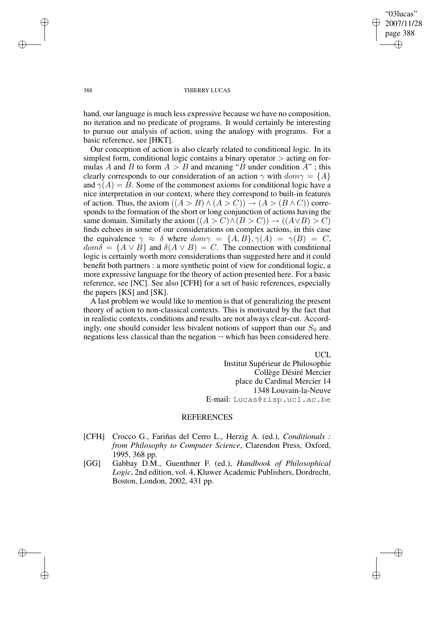"03lucas" 2007/11/28 page 388 ✐ ✐

✐

✐

### 388 THIERRY LUCAS

hand, our language is much less expressive because we have no composition, no iteration and no predicate of programs. It would certainly be interesting to pursue our analysis of action, using the analogy with programs. For a basic reference, see [HKT].

Our conception of action is also clearly related to conditional logic. In its simplest form, conditional logic contains a binary operator  $\gt$  acting on formulas A and B to form  $A > B$  and meaning "B under condition A"; this clearly corresponds to our consideration of an action  $\gamma$  with  $dom \gamma = \{A\}$ and  $\gamma(A) = B$ . Some of the commonest axioms for conditional logic have a nice interpretation in our context, where they correspond to built-in features of action. Thus, the axiom  $((A > B) \wedge (A > C)) \rightarrow (A > (B \wedge C))$  corresponds to the formation of the short or long conjunction of actions having the same domain. Similarly the axiom  $((A > C) \land (B > C)) \rightarrow ((A \lor B) > C)$ finds echoes in some of our considerations on complex actions, in this case the equivalence  $\gamma \approx \delta$  where  $dom \gamma = \{A, B\}, \gamma(A) = \gamma(B) = C$ ,  $dom\delta = \{A \vee B\}$  and  $\delta(A \vee B) = C$ . The connection with conditional logic is certainly worth more considerations than suggested here and it could benefit both partners : a more synthetic point of view for conditional logic, a more expressive language for the theory of action presented here. For a basic reference, see [NC]. See also [CFH] for a set of basic references, especially the papers [KS] and [SK].

A last problem we would like to mention is that of generalizing the present theory of action to non-classical contexts. This is motivated by the fact that in realistic contexts, conditions and results are not always clear-cut. Accordingly, one should consider less bivalent notions of support than our  $S_0$  and negations less classical than the negation  $\neg$  which has been considered here.

UCL

Institut Supérieur de Philosophie Collège Désiré Mercier place du Cardinal Mercier 14 1348 Louvain-la-Neuve E-mail: Lucas@risp.ucl.ac.be

## REFERENCES

- [CFH] Crocco G., Fariñas del Cerro L., Herzig A. (ed.), *Conditionals : from Philosophy to Computer Science*, Clarendon Press, Oxford, 1995, 368 pp.
- [GG] Gabbay D.M., Guenthner F. (ed.), *Handbook of Philosophical Logic*, 2nd edition, vol. 4, Kluwer Academic Publishers, Dordrecht, Boston, London, 2002, 431 pp.

 $\rightarrow$ 

 $\rightarrow$ 

✐